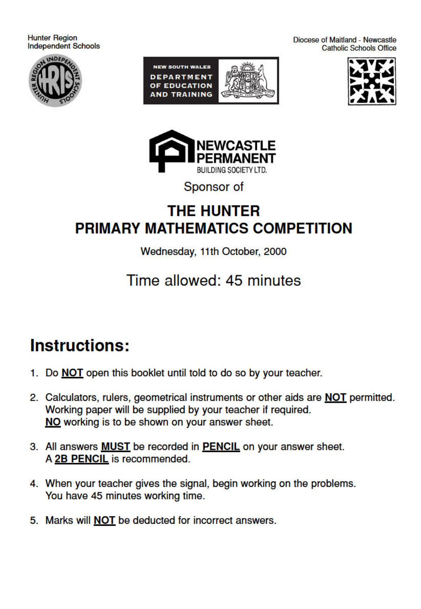**Hunter Region Independent Schools** 











Sponsor of

### **THE HUNTER** PRIMARY MATHEMATICS COMPETITION

#### Wednesday, 11th October, 2000

## Time allowed: 45 minutes

# **Instructions:**

- 1. Do NOT open this booklet until told to do so by your teacher.
- 2. Calculators, rulers, geometrical instruments or other aids are **NOT** permitted. Working paper will be supplied by your teacher if required. NO working is to be shown on your answer sheet.
- 3. All answers **MUST** be recorded in **PENCIL** on your answer sheet. A 2B PENCIL is recommended.
- 4. When your teacher gives the signal, begin working on the problems. You have 45 minutes working time.
- 5. Marks will **NOT** be deducted for incorrect answers.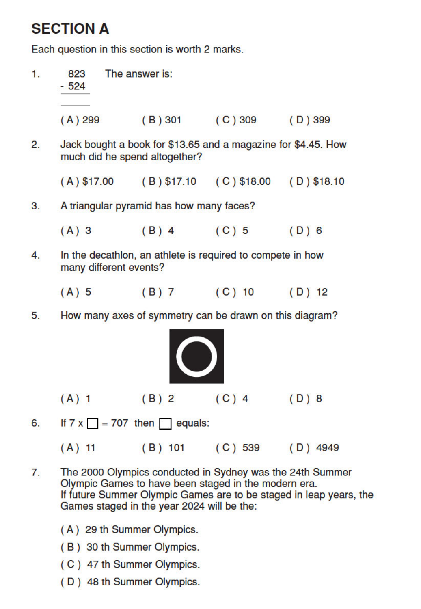## **SECTION A**

Each question in this section is worth 2 marks.

| 1. | The answer is:<br>823<br>$-524$                                                                |                                                         |                         |            |  |  |  |  |
|----|------------------------------------------------------------------------------------------------|---------------------------------------------------------|-------------------------|------------|--|--|--|--|
|    |                                                                                                | $(A) 299$ (B) 301 (C) 309 (D) 399                       |                         |            |  |  |  |  |
| 2. | Jack bought a book for \$13.65 and a magazine for \$4.45. How<br>much did he spend altogether? |                                                         |                         |            |  |  |  |  |
|    |                                                                                                | $(A) $17.00$ (B) \$17.10 (C) \$18.00 (D) \$18.10        |                         |            |  |  |  |  |
| 3. |                                                                                                | A triangular pyramid has how many faces?                |                         |            |  |  |  |  |
|    | $(A)$ 3                                                                                        |                                                         | $(B) 4$ $(C) 5$ $(D) 6$ |            |  |  |  |  |
| 4. | In the decathlon, an athlete is required to compete in how<br>many different events?           |                                                         |                         |            |  |  |  |  |
|    | $(A)$ 5                                                                                        |                                                         | (B) 7 (C) 10 (D) 12     |            |  |  |  |  |
| 5. |                                                                                                | How many axes of symmetry can be drawn on this diagram? |                         |            |  |  |  |  |
|    |                                                                                                |                                                         |                         |            |  |  |  |  |
|    | $(A)$ 1                                                                                        | $(B)$ 2                                                 | $(C)$ 4                 | (D)8       |  |  |  |  |
| 6. |                                                                                                | If $7 \times \square = 707$ then equals:                |                         |            |  |  |  |  |
|    |                                                                                                |                                                         | (A) 11 (B) 101 (C) 539  | $(D)$ 4949 |  |  |  |  |

- $7.$ The 2000 Olympics conducted in Sydney was the 24th Summer Olympic Games to have been staged in the modern era. If future Summer Olympic Games are to be staged in leap years, the Games staged in the year 2024 will be the:
	- (A) 29 th Summer Olympics.
	- (B) 30 th Summer Olympics.
	- (C) 47 th Summer Olympics.
	- (D) 48 th Summer Olympics.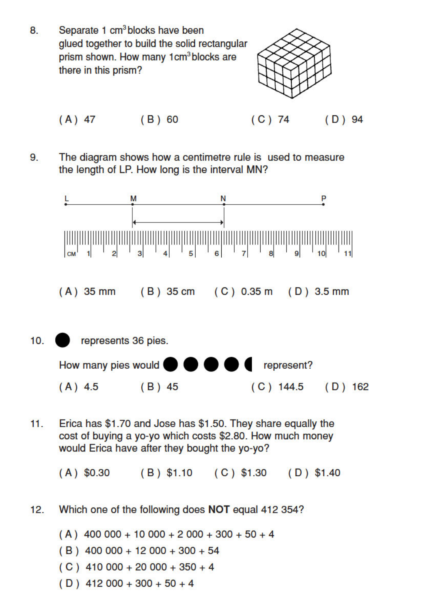8. Separate 1 cm<sup>3</sup> blocks have been glued together to build the solid rectangular prism shown. How many 1cm<sup>3</sup> blocks are there in this prism?



 $(A) 47$   $(B) 60$ 

 $(C)$  74  $(D)$  94

9. The diagram shows how a centimetre rule is used to measure the length of LP. How long is the interval MN?



Erica has \$1.70 and Jose has \$1.50. They share equally the  $11.$ cost of buying a yo-yo which costs \$2.80. How much money would Erica have after they bought the yo-yo?

(A) \$0.30 (B) \$1.10 (C) \$1.30 (D) \$1.40

- Which one of the following does NOT equal 412 354?  $12.$ 
	- $(A)$  400 000 + 10 000 + 2 000 + 300 + 50 + 4
	- $(B)$  400 000 + 12 000 + 300 + 54
	- $(C)$  410 000 + 20 000 + 350 + 4
	- $(D)$  412 000 + 300 + 50 + 4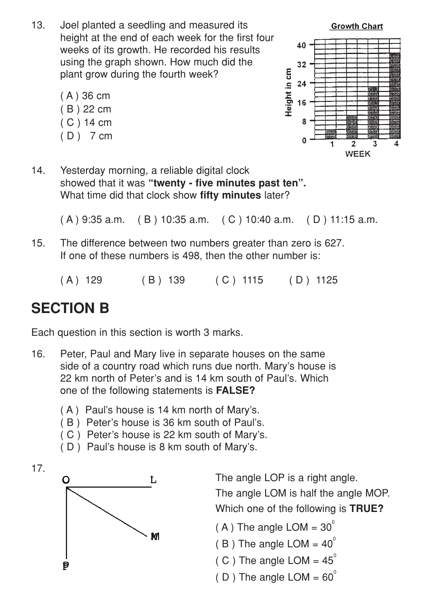- 13. Joel planted a seedling and measured its height at the end of each week for the first four weeks of its growth. He recorded his results using the graph shown. How much did the plant grow during the fourth week?
	- ( A ) 36 cm ( B ) 22 cm ( C ) 14 cm ( D ) 7 cm



14. Yesterday morning, a reliable digital clock showed that it was **"twenty - five minutes past ten".** What time did that clock show **fifty minutes** later?

( A ) 9:35 a.m. ( B ) 10:35 a.m. ( C ) 10:40 a.m. ( D ) 11:15 a.m.

- 15. The difference between two numbers greater than zero is 627. If one of these numbers is 498, then the other number is:
	- (A) 129 (B) 139 (C) 1115 (D) 1125

### **SECTION B**

Each question in this section is worth 3 marks.

- 16. Peter, Paul and Mary live in separate houses on the same side of a country road which runs due north. Mary's house is 22 km north of Peter's and is 14 km south of Paul's. Which one of the following statements is **FALSE?**
	- ( A ) Paul's house is 14 km north of Mary's.
	- ( B ) Peter's house is 36 km south of Paul's.
	- ( C ) Peter's house is 22 km south of Mary's.
	- ( D ) Paul's house is 8 km south of Mary's.





The angle LOP is a right angle.

The angle LOM is half the angle MOP. Which one of the following is **TRUE?**

- $(A)$  The angle LOM = 30<sup>°</sup>
- $(B)$  The angle LOM = 40<sup>o</sup>
- ( C ) The angle LOM =  $45^\circ$
- ( D ) The angle LOM =  $60^{\circ}$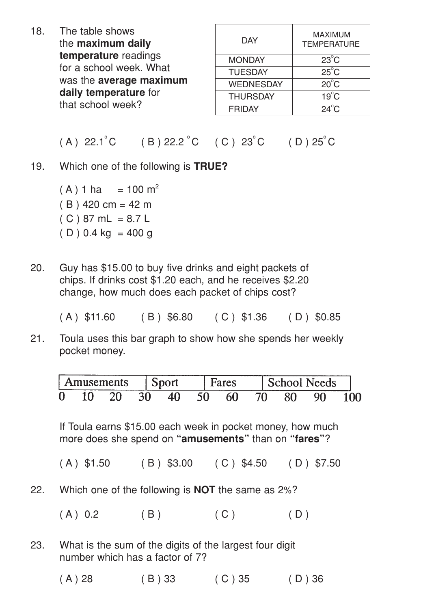18. The table shows the **maximum daily temperature** readings for a school week. What was the **average maximum daily temperature** for that school week?

| <b>DAY</b>       | <b>MAXIMUM</b><br><b>TEMPERATURE</b> |
|------------------|--------------------------------------|
| <b>MONDAY</b>    | $23^{\circ}$ C                       |
| <b>TUESDAY</b>   | $25^{\circ}$ C                       |
| <b>WEDNESDAY</b> | $20^{\circ}$ C                       |
| <b>THURSDAY</b>  | $19^{\circ}$ C                       |
| <b>FRIDAY</b>    | $24^\circ C$                         |
|                  |                                      |

#### $(A)$  22.1<sup>o</sup> C (B) 22.2<sup>o</sup> C (C) 23<sup>o</sup> C (D) 25<sup>o</sup> C

19. Which one of the following is **TRUE?**

 $(A) 1 ha = 100 m<sup>2</sup>$  $(B)$  420 cm = 42 m  $(C) 87 mL = 8.7 L$  $(D)$  0.4 kg = 400 g

20. Guy has \$15.00 to buy five drinks and eight packets of chips. If drinks cost \$1.20 each, and he receives \$2.20 change, how much does each packet of chips cost?

| $(A)$ \$11.60 | $(B)$ \$6.80 | $(C)$ \$1.36 | $(D)$ \$0.85 |
|---------------|--------------|--------------|--------------|
|---------------|--------------|--------------|--------------|

21. Toula uses this bar graph to show how she spends her weekly pocket money.

|   | Amusements |  | ares |  | chool Needs |  |
|---|------------|--|------|--|-------------|--|
| 0 |            |  | 60   |  | o٥          |  |

If Toula earns \$15.00 each week in pocket money, how much more does she spend on **"amusements"** than on **"fares"**?

- $(A)$  \$1.50 (B) \$3.00 (C) \$4.50 (D) \$7.50
- 22. Which one of the following is **NOT** the same as 2%?
	- $(A) 0.2$  (B) (C) (D)
- 23. What is the sum of the digits of the largest four digit number which has a factor of 7?
	- (A) 28 (B) 33 (C) 35 (D) 36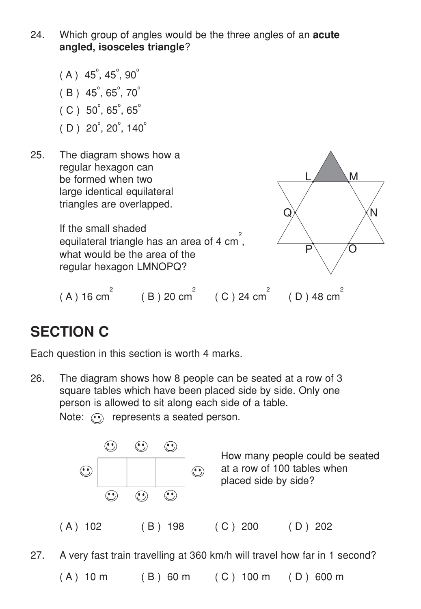- 24. Which group of angles would be the three angles of an **acute angled, isosceles triangle**?
	- $(A)$  45<sup>°</sup>, 45<sup>°</sup>, 90<sup>°</sup>  $(B) 45^\circ, 65^\circ, 70^\circ$  $(C)$  50<sup>°</sup>, 65<sup>°</sup>, 65<sup>°</sup>
	- $(D) 20^\circ, 20^\circ, 140^\circ$
- 25. The diagram shows how a regular hexagon can be formed when two large identical equilateral triangles are overlapped.

If the small shaded equilateral triangle has an area of 4 cm<sup>2</sup>, what would be the area of the regular hexagon LMNOPQ?



 $(D)$  48 cm<sup> $-$ </sup>  $M$ N  $\mathsf{P}\setminus\_\mathsf{O}$ Q

### **SECTION C**

Each question in this section is worth 4 marks.

26. The diagram shows how 8 people can be seated at a row of 3 square tables which have been placed side by side. Only one person is allowed to sit along each side of a table. Note:  $\odot$  represents a seated person.



27. A very fast train travelling at 360 km/h will travel how far in 1 second?

 $(A)$  10 m (B) 60 m (C) 100 m (D) 600 m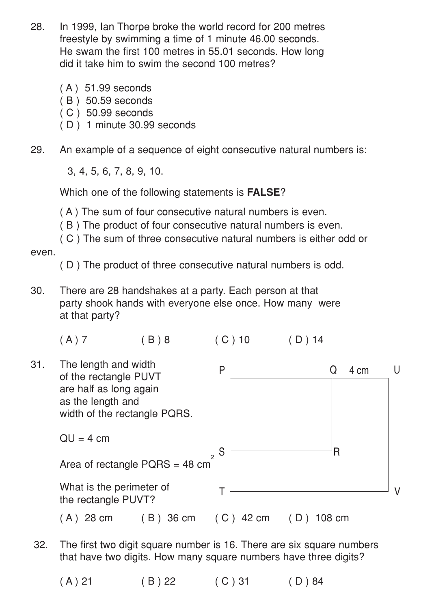- 28. In 1999, Ian Thorpe broke the world record for 200 metres freestyle by swimming a time of 1 minute 46.00 seconds. He swam the first 100 metres in 55.01 seconds. How long did it take him to swim the second 100 metres?
	- ( A ) 51.99 seconds
	- ( B ) 50.59 seconds
	- ( C ) 50.99 seconds
	- ( D ) 1 minute 30.99 seconds
- 29. An example of a sequence of eight consecutive natural numbers is:

3, 4, 5, 6, 7, 8, 9, 10.

Which one of the following statements is **FALSE**?

( A ) The sum of four consecutive natural numbers is even.

( B ) The product of four consecutive natural numbers is even.

( C ) The sum of three consecutive natural numbers is either odd or even.

( D ) The product of three consecutive natural numbers is odd.

30. There are 28 handshakes at a party. Each person at that party shook hands with everyone else once. How many were at that party?

 $(A) 7$  (B) 8 (C) 10 (D) 14



- 32. The first two digit square number is 16. There are six square numbers that have two digits. How many square numbers have three digits?
	- $(A) 21$   $(B) 22$   $(C) 31$   $(D) 84$